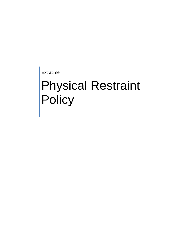Extratime

# Physical Restraint **Policy**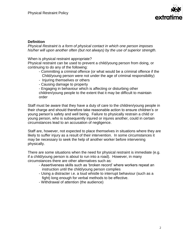

### **Definition**

*Physical Restraint is a form of physical contact in which one person imposes his/her will upon another often (but not always) by the use of superior strength.*

When is physical restraint appropriate?

Physical restraint can be used to prevent a child/young person from doing, or continuing to do any of the following:

- Committing a criminal offence (or what would be a criminal offence if the Child/young person were not under the age of criminal responsibility)
- Injuring themselves or others
- Causing damage to property

- Engaging in behaviour which is affecting or disturbing other children/young people to the extent that it may be difficult to maintain order

Staff must be aware that they have a duty of care to the children/young people in their charge and should therefore take reasonable action to ensure children's or young person's safety and well being. Failure to physically restrain a child or young person, who is subsequently injured or injures another, could in certain circumstances lead to an accusation of negligence.

Staff are, however, not expected to place themselves in situations where they are likely to suffer injury as a result of their intervention. In some circumstances it may be necessary to seek the help of another worker before intervening physically.

There are some situations when the need for physical restraint is immediate (e.g. if a child/young person is about to run into a road). However, in many circumstances there are other alternatives such as:

- Assertiveness skills such as 'broken record' where workers repeat an instruction until the child/young person complies
- Using a distracter i.e. a loud whistle to interrupt behaviour (such as a fight) long enough for verbal methods to be effective.
- Withdrawal of attention (the audience)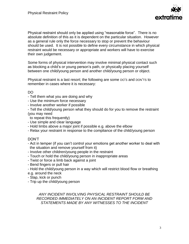

Physical restraint should only be applied using "reasonable force". There is no absolute definition of this as it is dependent on the particular situation. However as a general rule only the force necessary to stop or prevent the behaviour should be used. It is not possible to define every circumstance in which physical restraint would be necessary or appropriate and workers will have to exercise their own judgement.

Some forms of physical intervention may involve minimal physical contact such as blocking a child's or young person's path, or physically placing yourself between one child/young person and another child/young person or object.

Physical restraint is a last resort; the following are some DO'S and DON'TS to remember in cases where it is necessary:

## DO

- Tell them what you are doing and why
- Use the minimum force necessary
- Involve another worker if possible
- Tell the child/young person what they should do for you to remove the restraint (you may need
- to repeat this frequently)
- Use simple and clear language
- Hold limbs above a major joint if possible e.g. above the elbow
- Relax your restraint in response to the compliance of the child/young person

#### DON'T

- Act in temper (if you can't control your emotions get another worker to deal with the situation and remove yourself from it)
- Involve other children/young people in the restraint
- Touch or hold the child/young person in inappropriate areas
- Twist or force a limb back against a joint
- Bend fingers or pull hair
- Hold the child/young person in a way which will restrict blood flow or breathing e.g. around the neck
- Slap, kick or punch
- Trip up the child/young person

*ANY INCIDENT INVOLVING PHYSICAL RESTRAINT SHOULD BE RECORDED IMMEDIATELY ON AN INCIDENT REPORT FORM AND STATEMENTS MADE BY ANY WITNESSES TO THE INCIDENT*